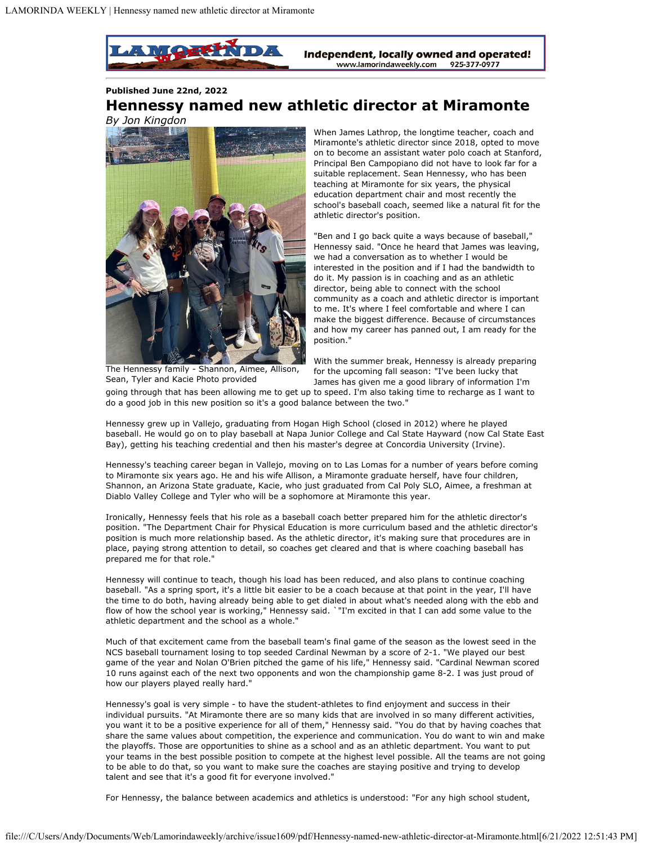

**Published June 22nd, 2022**

## **Hennessy named new athletic director at Miramonte**



When James Lathrop, the longtime teacher, coach and Miramonte's athletic director since 2018, opted to move on to become an assistant water polo coach at Stanford, Principal Ben Campopiano did not have to look far for a suitable replacement. Sean Hennessy, who has been teaching at Miramonte for six years, the physical education department chair and most recently the school's baseball coach, seemed like a natural fit for the athletic director's position.

"Ben and I go back quite a ways because of baseball," Hennessy said. "Once he heard that James was leaving, we had a conversation as to whether I would be interested in the position and if I had the bandwidth to do it. My passion is in coaching and as an athletic director, being able to connect with the school community as a coach and athletic director is important to me. It's where I feel comfortable and where I can make the biggest difference. Because of circumstances and how my career has panned out, I am ready for the position."

The Hennessy family - Shannon, Aimee, Allison, Sean, Tyler and Kacie Photo provided

With the summer break, Hennessy is already preparing for the upcoming fall season: "I've been lucky that James has given me a good library of information I'm

going through that has been allowing me to get up to speed. I'm also taking time to recharge as I want to do a good job in this new position so it's a good balance between the two."

Hennessy grew up in Vallejo, graduating from Hogan High School (closed in 2012) where he played baseball. He would go on to play baseball at Napa Junior College and Cal State Hayward (now Cal State East Bay), getting his teaching credential and then his master's degree at Concordia University (Irvine).

Hennessy's teaching career began in Vallejo, moving on to Las Lomas for a number of years before coming to Miramonte six years ago. He and his wife Allison, a Miramonte graduate herself, have four children, Shannon, an Arizona State graduate, Kacie, who just graduated from Cal Poly SLO, Aimee, a freshman at Diablo Valley College and Tyler who will be a sophomore at Miramonte this year.

Ironically, Hennessy feels that his role as a baseball coach better prepared him for the athletic director's position. "The Department Chair for Physical Education is more curriculum based and the athletic director's position is much more relationship based. As the athletic director, it's making sure that procedures are in place, paying strong attention to detail, so coaches get cleared and that is where coaching baseball has prepared me for that role."

Hennessy will continue to teach, though his load has been reduced, and also plans to continue coaching baseball. "As a spring sport, it's a little bit easier to be a coach because at that point in the year, I'll have the time to do both, having already being able to get dialed in about what's needed along with the ebb and flow of how the school year is working," Hennessy said. `"I'm excited in that I can add some value to the athletic department and the school as a whole."

Much of that excitement came from the baseball team's final game of the season as the lowest seed in the NCS baseball tournament losing to top seeded Cardinal Newman by a score of 2-1. "We played our best game of the year and Nolan O'Brien pitched the game of his life," Hennessy said. "Cardinal Newman scored 10 runs against each of the next two opponents and won the championship game 8-2. I was just proud of how our players played really hard."

Hennessy's goal is very simple - to have the student-athletes to find enjoyment and success in their individual pursuits. "At Miramonte there are so many kids that are involved in so many different activities, you want it to be a positive experience for all of them," Hennessy said. "You do that by having coaches that share the same values about competition, the experience and communication. You do want to win and make the playoffs. Those are opportunities to shine as a school and as an athletic department. You want to put your teams in the best possible position to compete at the highest level possible. All the teams are not going to be able to do that, so you want to make sure the coaches are staying positive and trying to develop talent and see that it's a good fit for everyone involved."

For Hennessy, the balance between academics and athletics is understood: "For any high school student,